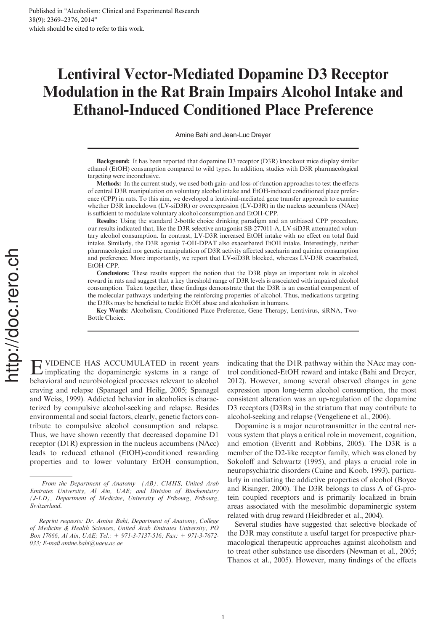# Lentiviral Vector-Mediated Dopamine D3 Receptor Modulation in the Rat Brain Impairs Alcohol Intake and Ethanol-Induced Conditioned Place Preference

Amine Bahi and Jean-Luc Dreyer

Background: It has been reported that dopamine D3 receptor (D3R) knockout mice display similar ethanol (EtOH) consumption compared to wild types. In addition, studies with D3R pharmacological targeting were inconclusive.

Methods: In the current study, we used both gain- and loss-of-function approaches to test the effects of central D3R manipulation on voluntary alcohol intake and EtOH-induced conditioned place preference (CPP) in rats. To this aim, we developed a lentiviral-mediated gene transfer approach to examine whether D3R knockdown (LV-siD3R) or overexpression (LV-D3R) in the nucleus accumbens (NAcc) is sufficient to modulate voluntary alcohol consumption and EtOH-CPP.

Results: Using the standard 2-bottle choice drinking paradigm and an unbiased CPP procedure, our results indicated that, like the D3R selective antagonist SB-277011-A, LV-siD3R attenuated voluntary alcohol consumption. In contrast, LV-D3R increased EtOH intake with no effect on total fluid intake. Similarly, the D3R agonist 7-OH-DPAT also exacerbated EtOH intake. Interestingly, neither pharmacological nor genetic manipulation of D3R activity affected saccharin and quinine consumption and preference. More importantly, we report that LV-siD3R blocked, whereas LV-D3R exacerbated, EtOH-CPP.

Conclusions: These results support the notion that the D3R plays an important role in alcohol reward in rats and suggest that a key threshold range of D3R levels is associated with impaired alcohol consumption. Taken together, these findings demonstrate that the D3R is an essential component of the molecular pathways underlying the reinforcing properties of alcohol. Thus, medications targeting the D3Rs may be beneficial to tackle EtOH abuse and alcoholism in humans.

Key Words: Alcoholism, Conditioned Place Preference, Gene Therapy, Lentivirus, siRNA, Two-Bottle Choice.

E implicating the dopaminergic systems in a range of VIDENCE HAS ACCUMULATED in recent years behavioral and neurobiological processes relevant to alcohol craving and relapse (Spanagel and Heilig, 2005; Spanagel and Weiss, 1999). Addicted behavior in alcoholics is characterized by compulsive alcohol-seeking and relapse. Besides environmental and social factors, clearly, genetic factors contribute to compulsive alcohol consumption and relapse. Thus, we have shown recently that decreased dopamine D1 receptor (D1R) expression in the nucleus accumbens (NAcc) leads to reduced ethanol (EtOH)-conditioned rewarding properties and to lower voluntary EtOH consumption,

indicating that the D1R pathway within the NAcc may control conditioned-EtOH reward and intake (Bahi and Dreyer, 2012). However, among several observed changes in gene expression upon long-term alcohol consumption, the most consistent alteration was an up-regulation of the dopamine D<sub>3</sub> receptors (D<sub>3</sub>Rs) in the striatum that may contribute to alcohol-seeking and relapse (Vengeliene et al., 2006).

Dopamine is a major neurotransmitter in the central nervous system that plays a critical role in movement, cognition, and emotion (Everitt and Robbins, 2005). The D3R is a member of the D2-like receptor family, which was cloned by Sokoloff and Schwartz (1995), and plays a crucial role in neuropsychiatric disorders (Caine and Koob, 1993), particularly in mediating the addictive properties of alcohol (Boyce and Risinger, 2000). The D3R belongs to class A of G-protein coupled receptors and is primarily localized in brain areas associated with the mesolimbic dopaminergic system related with drug reward (Heidbreder et al., 2004).

Several studies have suggested that selective blockade of the D3R may constitute a useful target for prospective pharmacological therapeutic approaches against alcoholism and to treat other substance use disorders (Newman et al., 2005; Thanos et al., 2005). However, many findings of the effects

From the Department of Anatomy (AB), CMHS, United Arab Emirates University, Al Ain, UAE; and Division of Biochemistry (J-LD), Department of Medicine, University of Fribourg, Fribourg, Switzerland.

Reprint requests: Dr. Amine Bahi, Department of Anatomy, College of Medicine & Health Sciences, United Arab Emirates University, PO Box 17666, Al Ain, UAE; Tel.: + 971-3-7137-516; Fax: + 971-3-7672- 033; E-mail amine.bahi@uaeu.ac.ae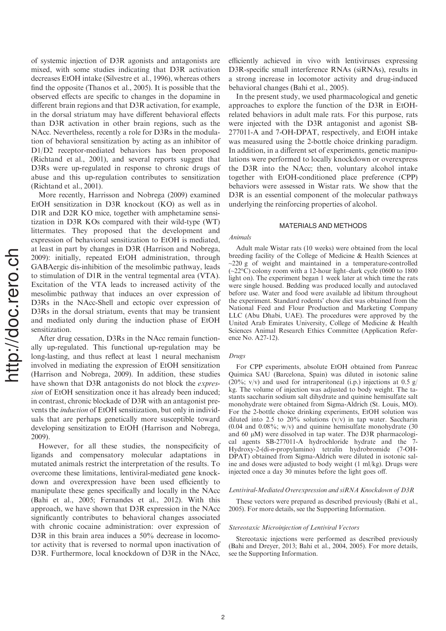of systemic injection of D3R agonists and antagonists are mixed, with some studies indicating that D3R activation decreases EtOH intake (Silvestre et al., 1996), whereas others find the opposite (Thanos et al., 2005). It is possible that the observed effects are specific to changes in the dopamine in different brain regions and that D3R activation, for example, in the dorsal striatum may have different behavioral effects than D3R activation in other brain regions, such as the NAcc. Nevertheless, recently a role for D3Rs in the modulation of behavioral sensitization by acting as an inhibitor of D1/D2 receptor-mediated behaviors has been proposed (Richtand et al., 2001), and several reports suggest that D3Rs were up-regulated in response to chronic drugs of abuse and this up-regulation contributes to sensitization (Richtand et al., 2001).

More recently, Harrisson and Nobrega (2009) examined EtOH sensitization in D3R knockout (KO) as well as in D1R and D2R KO mice, together with amphetamine sensitization in D3R KOs compared with their wild-type (WT) littermates. They proposed that the development and expression of behavioral sensitization to EtOH is mediated, at least in part by changes in D3R (Harrison and Nobrega, 2009): initially, repeated EtOH administration, through GABAergic dis-inhibition of the mesolimbic pathway, leads to stimulation of D1R in the ventral tegmental area (VTA). Excitation of the VTA leads to increased activity of the mesolimbic pathway that induces an over expression of D3Rs in the NAcc-Shell and ectopic over expression of D3Rs in the dorsal striatum, events that may be transient and mediated only during the induction phase of EtOH sensitization.

After drug cessation, D3Rs in the NAcc remain functionally up-regulated. This functional up-regulation may be long-lasting, and thus reflect at least 1 neural mechanism involved in mediating the expression of EtOH sensitization (Harrison and Nobrega, 2009). In addition, these studies have shown that D3R antagonists do not block the *expres*sion of EtOH sensitization once it has already been induced; in contrast, chronic blockade of D3R with an antagonist prevents the induction of EtOH sensitization, but only in individuals that are perhaps genetically more susceptible toward developing sensitization to EtOH (Harrison and Nobrega, 2009).

However, for all these studies, the nonspecificity of ligands and compensatory molecular adaptations in mutated animals restrict the interpretation of the results. To overcome these limitations, lentiviral-mediated gene knockdown and overexpression have been used efficiently to manipulate these genes specifically and locally in the NAcc (Bahi et al., 2005; Fernandes et al., 2012). With this approach, we have shown that D3R expression in the NAcc significantly contributes to behavioral changes associated with chronic cocaine administration: over expression of D3R in this brain area induces a 50% decrease in locomotor activity that is reversed to normal upon inactivation of D3R. Furthermore, local knockdown of D3R in the NAcc,

efficiently achieved in vivo with lentiviruses expressing D3R-specific small interference RNAs (siRNAs), results in a strong increase in locomotor activity and drug-induced behavioral changes (Bahi et al., 2005).

In the present study, we used pharmacological and genetic approaches to explore the function of the D3R in EtOHrelated behaviors in adult male rats. For this purpose, rats were injected with the D3R antagonist and agonist SB-277011-A and 7-OH-DPAT, respectively, and EtOH intake was measured using the 2-bottle choice drinking paradigm. In addition, in a different set of experiments, genetic manipulations were performed to locally knockdown or overexpress the D3R into the NAcc; then, voluntary alcohol intake together with EtOH-conditioned place preference (CPP) behaviors were assessed in Wistar rats. We show that the D<sub>3</sub>R is an essential component of the molecular pathways underlying the reinforcing properties of alcohol.

### MATERIALS AND METHODS

#### Animals

Adult male Wistar rats (10 weeks) were obtained from the local breeding facility of the College of Medicine & Health Sciences at  $\approx$  220 g of weight and maintained in a temperature-controlled (~22°C) colony room with a 12-hour light–dark cycle (0600 to 1800 light on). The experiment began 1 week later at which time the rats were single housed. Bedding was produced locally and autoclaved before use. Water and food were available ad libitum throughout the experiment. Standard rodents' chow diet was obtained from the National Feed and Flour Production and Marketing Company LLC (Abu Dhabi, UAE). The procedures were approved by the United Arab Emirates University, College of Medicine & Health Sciences Animal Research Ethics Committee (Application Reference No. A27-12).

# Drugs

For CPP experiments, absolute EtOH obtained from Panreac Quimica SAU (Barcelona, Spain) was diluted in isotonic saline (20%; v/v) and used for intraperitoneal (i.p.) injections at 0.5 g/ kg. The volume of injection was adjusted to body weight. The tastants saccharin sodium salt dihydrate and quinine hemisulfate salt monohydrate were obtained from Sigma-Aldrich (St. Louis, MO). For the 2-bottle choice drinking experiments, EtOH solution was diluted into 2.5 to 20% solutions  $(v/v)$  in tap water. Saccharin  $(0.04$  and  $0.08\%$ ; w/v) and quinine hemisulfate monohydrate (30) and 60  $\mu$ M) were dissolved in tap water. The D3R pharmacological agents SB-277011-A hydrochloride hydrate and the Hydroxy-2-(di-n-propylamino) tetralin hydrobromide (7-OH-DPAT) obtained from Sigma-Aldrich were diluted in isotonic saline and doses were adjusted to body weight (1 ml/kg). Drugs were injected once a day 30 minutes before the light goes off.

#### Lentiviral-Mediated Overexpression and siRNA Knockdown of D3R

These vectors were prepared as described previously (Bahi et al., 2005). For more details, see the Supporting Information.

## Stereotaxic Microinjection of Lentiviral Vectors

Stereotaxic injections were performed as described previously (Bahi and Dreyer, 2013; Bahi et al., 2004, 2005). For more details, see the Supporting Information.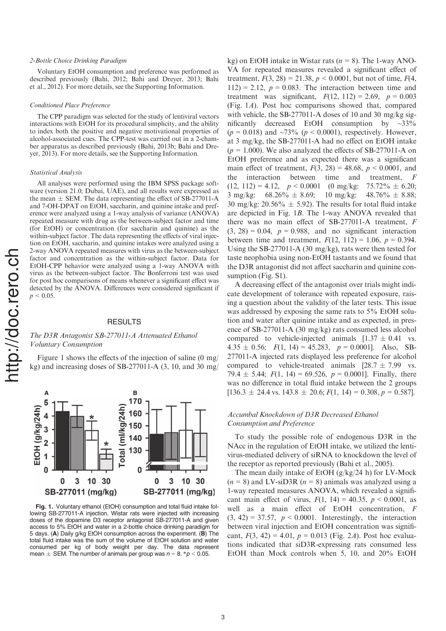# 2-Bottle Choice Drinking Paradigm

Voluntary EtOH consumption and preference was performed as described previously (Bahi, 2012; Bahi and Dreyer, 2013; Bahi et al., 2012). For more details, see the Supporting Information.

#### Conditioned Place Preference

The CPP paradigm was selected for the study of lentiviral vectors interactions with EtOH for its procedural simplicity, and the ability to index both the positive and negative motivational properties of alcohol-associated cues. The CPP-test was carried out in a 2-chamber apparatus as described previously (Bahi, 2013b; Bahi and Dreyer, 2013). For more details, see the Supporting Information.

#### Statistical Analysis

All analyses were performed using the IBM SPSS package software (version 21.0; Dubai, UAE), and all results were expressed as the mean  $\pm$  SEM. The data representing the effect of SB-277011-A and 7-OH-DPAT on EtOH, saccharin, and quinine intake and preference were analyzed using a 1-way analysis of variance (ANOVA) repeated measure with drug as the between-subject factor and time (for EtOH) or concentration (for saccharin and quinine) as the within-subject factor. The data representing the effects of viral injection on EtOH, saccharin, and quinine intakes were analyzed using a 2-way ANOVA repeated measures with virus as the between-subject factor and concentration as the within-subject factor. Data for EtOH-CPP behavior were analyzed using a 1-way ANOVA with virus as the between-subject factor. The Bonferroni test was used for post hoc comparisons of means whenever a significant effect was detected by the ANOVA. Differences were considered significant if  $p < 0.05$ .

## **RESULTS**

# The D3R Antagonist SB-277011-A Attenuated Ethanol Voluntary Consumption

Figure 1 shows the effects of the injection of saline (0 mg/ kg) and increasing doses of SB-277011-A (3, 10, and 30 mg/



Fig. 1. Voluntary ethanol (EtOH) consumption and total fluid intake following SB-277011-A injection. Wistar rats were injected with increasing doses of the dopamine D3 receptor antagonist SB-277011-A and given access to 5% EtOH and water in a 2-bottle choice drinking paradigm for 5 days. (A) Daily g/kg EtOH consumption across the experiment. (B) The total fluid intake was the sum of the volume of EtOH solution and water consumed per kg of body weight per day. The data represent mean  $\pm$  SEM. The number of animals per group was  $n = 8$ . \* $p < 0.05$ .

kg) on EtOH intake in Wistar rats  $(n = 8)$ . The 1-way ANO-VA for repeated measures revealed a significant effect of treatment,  $F(3, 28) = 21.38$ ,  $p < 0.0001$ , but not of time,  $F(4, 1)$  $112$ ) = 2.12,  $p = 0.083$ . The interaction between time and treatment was significant,  $F(12, 112) = 2.69$ ,  $p = 0.003$ (Fig. 1A). Post hoc comparisons showed that, compared with vehicle, the SB-277011-A doses of 10 and 30 mg/kg significantly decreased EtOH consumption by  $\sim$ 33%  $(p = 0.018)$  and  $\sim 73\%$   $(p < 0.0001)$ , respectively. However, at 3 mg/kg, the SB-277011-A had no effect on EtOH intake  $(p = 1.000)$ . We also analyzed the effects of SB-277011-A on EtOH preference and as expected there was a significant main effect of treatment,  $F(3, 28) = 48.68$ ,  $p < 0.0001$ , and the interaction between time and treatment, F  $(12, 112) = 4.12, p < 0.0001$  (0 mg/kg: 75.72%  $\pm$  6.20; 3 mg/kg:  $68.26\% \pm 8.69$ ;  $10 \text{ mg/kg}$ :  $48.76\% \pm 8.88$ ; 30 mg/kg: 20.56%  $\pm$  5.92). The results for total fluid intake are depicted in Fig. 1B. The 1-way ANOVA revealed that there was no main effect of SB-277011-A treatment, F  $(3, 28) = 0.04$ ,  $p = 0.988$ , and no significant interaction between time and treatment,  $F(12, 112) = 1.06$ ,  $p = 0.394$ . Using the SB-277011-A (30 mg/kg), rats were then tested for taste neophobia using non-EtOH tastants and we found that the D3R antagonist did not affect saccharin and quinine consumption (Fig. S1).

A decreasing effect of the antagonist over trials might indicate development of tolerance with repeated exposure, raising a question about the validity of the later tests. This issue was addressed by exposing the same rats to 5% EtOH solution and water after quinine intake and as expected, in presence of SB-277011-A (30 mg/kg) rats consumed less alcohol compared to vehicle-injected animals  $[1.37 \pm 0.41$  vs.  $4.35 \pm 0.56$ ;  $F(1, 14) = 45.283$ ,  $p = 0.0001$ ]. Also, SB-277011-A injected rats displayed less preference for alcohol compared to vehicle-treated animals  $[28.7 \pm 7.99$  vs. 79.4  $\pm$  5.44;  $F(1, 14) = 69.526$ ,  $p = 0.0001$ ]. Finally, there was no difference in total fluid intake between the 2 groups  $[136.3 \pm 24.4 \text{ vs. } 143.8 \pm 20.6; F(1, 14) = 0.308, p = 0.587]$ .

# Accumbal Knockdown of D3R Decreased Ethanol Consumption and Preference

To study the possible role of endogenous D3R in the NAcc in the regulation of EtOH intake, we utilized the lentivirus-mediated delivery of siRNA to knockdown the level of the receptor as reported previously (Bahi et al., 2005).

The mean daily intake of EtOH (g/kg/24 h) for LV-Mock  $(n = 8)$  and LV-siD3R  $(n = 8)$  animals was analyzed using a 1-way repeated measures ANOVA, which revealed a significant main effect of virus,  $F(1, 14) = 40.35$ ,  $p < 0.0001$ , as well as a main effect of EtOH concentration, F  $(3, 42) = 37.57$ ,  $p < 0.0001$ . Interestingly, the interaction between viral injection and EtOH concentration was significant,  $F(3, 42) = 4.01$ ,  $p = 0.013$  (Fig. 2A). Post hoc evaluations indicated that siD3R-expressing rats consumed less EtOH than Mock controls when 5, 10, and 20% EtOH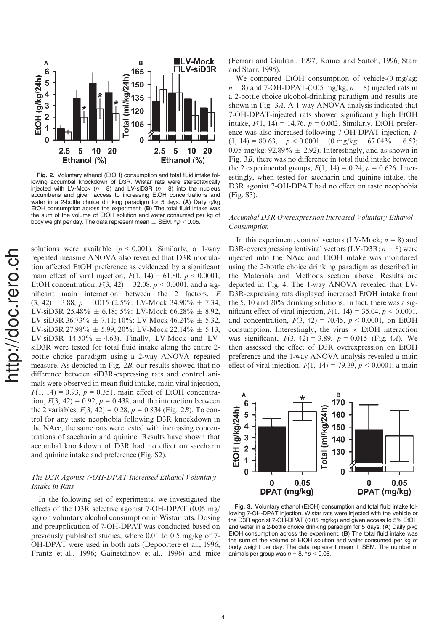

Fig. 2. Voluntary ethanol (EtOH) consumption and total fluid intake following accumbal knockdown of D3R. Wistar rats were stereotaxically injected with LV-Mock ( $n = 8$ ) and LV-siD3R ( $n = 8$ ) into the nucleus accumbens and given access to increasing EtOH concentrations and water in a 2-bottle choice drinking paradigm for 5 days. (A) Daily g/kg EtOH consumption across the experiment. (B) The total fluid intake was the sum of the volume of EtOH solution and water consumed per kg of body weight per day. The data represent mean  $\pm$  SEM.  $^*p$  < 0.05.

solutions were available ( $p < 0.001$ ). Similarly, a 1-way repeated measure ANOVA also revealed that D3R modulation affected EtOH preference as evidenced by a significant main effect of viral injection,  $F(1, 14) = 61.80, p < 0.0001$ , EtOH concentration,  $F(3, 42) = 32.08$ ,  $p < 0.0001$ , and a significant main interaction between the 2 factors, F  $(3, 42) = 3.88$ ,  $p = 0.015$   $(2.5\% : LV-Mock 34.90\% \pm 7.34,$ LV-siD3R 25.48%  $\pm$  6.18; 5%: LV-Mock 66.28%  $\pm$  8.92, LV-siD3R 36.73%  $\pm$  7.11; 10%: LV-Mock 46.24%  $\pm$  5.32, LV-siD3R 27.98%  $\pm$  5.99; 20%: LV-Mock 22.14%  $\pm$  5.13,  $LV-siD3R$  14.50%  $\pm$  4.63). Finally, LV-Mock and LVsiD3R were tested for total fluid intake along the entire 2 bottle choice paradigm using a 2-way ANOVA repeated measure. As depicted in Fig. 2B, our results showed that no difference between siD3R-expressing rats and control animals were observed in mean fluid intake, main viral injection,  $F(1, 14) = 0.93$ ,  $p = 0.351$ , main effect of EtOH concentration,  $F(3, 42) = 0.92$ ,  $p = 0.438$ , and the interaction between the 2 variables,  $F(3, 42) = 0.28$ ,  $p = 0.834$  (Fig. 2B). To control for any taste neophobia following D3R knockdown in the NAcc, the same rats were tested with increasing concentrations of saccharin and quinine. Results have shown that accumbal knockdown of D3R had no effect on saccharin and quinine intake and preference (Fig. S2).

# The D3R Agonist 7-OH-DPAT Increased Ethanol Voluntary Intake in Rats

In the following set of experiments, we investigated the effects of the D3R selective agonist 7-OH-DPAT (0.05 mg/ kg) on voluntary alcohol consumption in Wistar rats. Dosing and preapplication of 7-OH-DPAT was conducted based on previously published studies, where 0.01 to 0.5 mg/kg of 7- OH-DPAT were used in both rats (Depoortere et al., 1996; Frantz et al., 1996; Gainetdinov et al., 1996) and mice (Ferrari and Giuliani, 1997; Kamei and Saitoh, 1996; Starr and Starr, 1995).

We compared EtOH consumption of vehicle-(0 mg/kg;  $n = 8$ ) and 7-OH-DPAT-(0.05 mg/kg;  $n = 8$ ) injected rats in a 2-bottle choice alcohol-drinking paradigm and results are shown in Fig. 3A. A 1-way ANOVA analysis indicated that 7-OH-DPAT-injected rats showed significantly high EtOH intake,  $F(1, 14) = 14.76$ ,  $p = 0.002$ . Similarly, EtOH preference was also increased following 7-OH-DPAT injection, F  $(1, 14) = 80.63, p < 0.0001$  (0 mg/kg: 67.04%  $\pm$  6.53; 0.05 mg/kg:  $92.89\% \pm 2.92$ ). Interestingly, and as shown in Fig. 3B, there was no difference in total fluid intake between the 2 experimental groups,  $F(1, 14) = 0.24$ ,  $p = 0.626$ . Interestingly, when tested for saccharin and quinine intake, the D3R agonist 7-OH-DPAT had no effect on taste neophobia (Fig. S3).

# Accumbal D3R Overexpression Increased Voluntary Ethanol Consumption

In this experiment, control vectors (LV-Mock;  $n = 8$ ) and D3R-overexpressing lentiviral vectors (LV-D3R;  $n = 8$ ) were injected into the NAcc and EtOH intake was monitored using the 2-bottle choice drinking paradigm as described in the Materials and Methods section above. Results are depicted in Fig. 4. The 1-way ANOVA revealed that LV-D3R-expressing rats displayed increased EtOH intake from the 5, 10 and 20% drinking solutions. In fact, there was a significant effect of viral injection,  $F(1, 14) = 35.04, p < 0.0001$ , and concentration,  $F(3, 42) = 70.45$ ,  $p < 0.0001$ , on EtOH consumption. Interestingly, the virus  $\times$  EtOH interaction was significant,  $F(3, 42) = 3.89$ ,  $p = 0.015$  (Fig. 4A). We then assessed the effect of D3R overexpression on EtOH preference and the 1-way ANOVA analysis revealed a main effect of viral injection,  $F(1, 14) = 79.39, p < 0.0001$ , a main



Fig. 3. Voluntary ethanol (EtOH) consumption and total fluid intake following 7-OH-DPAT injection. Wistar rats were injected with the vehicle or the D3R agonist 7-OH-DPAT (0.05 mg/kg) and given access to 5% EtOH and water in a 2-bottle choice drinking paradigm for 5 days. (A) Daily g/kg EtOH consumption across the experiment. (B) The total fluid intake was the sum of the volume of EtOH solution and water consumed per kg of body weight per day. The data represent mean  $\pm$  SEM. The number of animals per group was  $n = 8$ . \* $p < 0.05$ .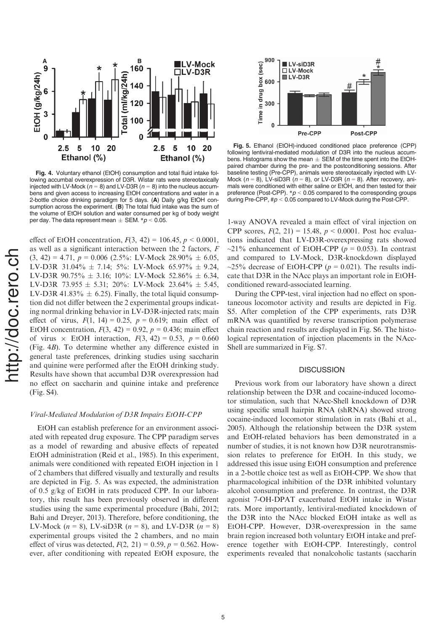

Fig. 4. Voluntary ethanol (EtOH) consumption and total fluid intake following accumbal overexpression of D3R. Wistar rats were stereotaxically injected with LV-Mock ( $n = 8$ ) and LV-D3R ( $n = 8$ ) into the nucleus accumbens and given access to increasing EtOH concentrations and water in a 2-bottle choice drinking paradigm for 5 days. (A) Daily g/kg EtOH consumption across the experiment. (B) The total fluid intake was the sum of the volume of EtOH solution and water consumed per kg of body weight per day. The data represent mean  $\pm$  SEM.  $^{*}p$  < 0.05.

effect of EtOH concentration,  $F(3, 42) = 106.45, p < 0.0001$ , as well as a significant interaction between the 2 factors, F  $(3, 42) = 4.71, p = 0.006$   $(2.5\% : LV-Mock 28.90\% \pm 6.05,$ LV-D3R 31.04%  $\pm$  7.14; 5%: LV-Mock 65.97%  $\pm$  9.24, LV-D3R  $90.75\% \pm 3.16$ ; 10%: LV-Mock 52.86%  $\pm$  6.34, LV-D3R 73.955  $\pm$  5.31; 20%: LV-Mock 23.64%  $\pm$  5.45, LV-D3R 41.83%  $\pm$  6.25). Finally, the total liquid consumption did not differ between the 2 experimental groups indicating normal drinking behavior in LV-D3R-injected rats; main effect of virus,  $F(1, 14) = 0.25$ ,  $p = 0.619$ ; main effect of EtOH concentration,  $F(3, 42) = 0.92$ ,  $p = 0.436$ ; main effect of virus  $\times$  EtOH interaction,  $F(3, 42) = 0.53$ ,  $p = 0.660$ (Fig. 4B). To determine whether any difference existed in general taste preferences, drinking studies using saccharin and quinine were performed after the EtOH drinking study. Results have shown that accumbal D3R overexpression had no effect on saccharin and quinine intake and preference (Fig. S4).

# Viral-Mediated Modulation of D3R Impairs EtOH-CPP

EtOH can establish preference for an environment associated with repeated drug exposure. The CPP paradigm serves as a model of rewarding and abusive effects of repeated EtOH administration (Reid et al., 1985). In this experiment, animals were conditioned with repeated EtOH injection in 1 of 2 chambers that differed visually and texturally and results are depicted in Fig. 5. As was expected, the administration of 0.5 g/kg of EtOH in rats produced CPP. In our laboratory, this result has been previously observed in different studies using the same experimental procedure (Bahi, 2012; Bahi and Dreyer, 2013). Therefore, before conditioning, the LV-Mock ( $n = 8$ ), LV-siD3R ( $n = 8$ ), and LV-D3R ( $n = 8$ ) experimental groups visited the 2 chambers, and no main effect of virus was detected,  $F(2, 21) = 0.59$ ,  $p = 0.562$ . However, after conditioning with repeated EtOH exposure, the



Fig. 5. Ethanol (EtOH)-induced conditioned place preference (CPP) following lentiviral-mediated modulation of D3R into the nucleus accumbens. Histograms show the mean  $\pm$  SEM of the time spent into the EtOHpaired chamber during the pre- and the postconditioning sessions. After baseline testing (Pre-CPP), animals were stereotaxically injected with LV-Mock ( $n = 8$ ), LV-siD3R ( $n = 8$ ), or LV-D3R ( $n = 8$ ), After recovery, animals were conditioned with either saline or EtOH, and then tested for their preference (Post-CPP).  $p < 0.05$  compared to the corresponding groups during Pre-CPP,  $\#p < 0.05$  compared to LV-Mock during the Post-CPP.

1-way ANOVA revealed a main effect of viral injection on CPP scores,  $F(2, 21) = 15.48$ ,  $p < 0.0001$ . Post hoc evaluations indicated that LV-D3R-overexpressing rats showed ~21% enhancement of EtOH-CPP ( $p = 0.053$ ). In contrast and compared to LV-Mock, D3R-knockdown displayed ~25% decrease of EtOH-CPP ( $p = 0.021$ ). The results indicate that D3R in the NAcc plays an important role in EtOHconditioned reward-associated learning.

During the CPP-test, viral injection had no effect on spontaneous locomotor activity and results are depicted in Fig. S5. After completion of the CPP experiments, rats D3R mRNA was quantified by reverse transcription polymerase chain reaction and results are displayed in Fig. S6. The histological representation of injection placements in the NAcc-Shell are summarized in Fig. S7.

## **DISCUSSION**

Previous work from our laboratory have shown a direct relationship between the D3R and cocaine-induced locomotor stimulation, such that NAcc-Shell knockdown of D3R using specific small hairpin RNA (shRNA) showed strong cocaine-induced locomotor stimulation in rats (Bahi et al., 2005). Although the relationship between the D3R system and EtOH-related behaviors has been demonstrated in a number of studies, it is not known how D3R neurotransmission relates to preference for EtOH. In this study, we addressed this issue using EtOH consumption and preference in a 2-bottle choice test as well as EtOH-CPP. We show that pharmacological inhibition of the D3R inhibited voluntary alcohol consumption and preference. In contrast, the D3R agonist 7-OH-DPAT exacerbated EtOH intake in Wistar rats. More importantly, lentiviral-mediated knockdown of the D3R into the NAcc blocked EtOH intake as well as EtOH-CPP. However, D3R-overexpression in the same brain region increased both voluntary EtOH intake and preference together with EtOH-CPP. Interestingly, control experiments revealed that nonalcoholic tastants (saccharin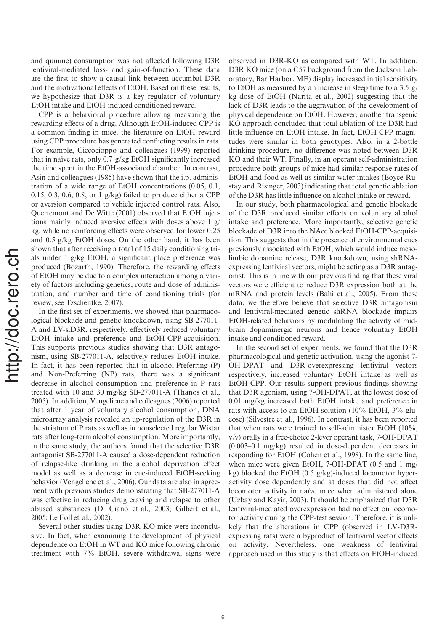and quinine) consumption was not affected following D3R lentiviral-mediated loss- and gain-of-function. These data are the first to show a causal link between accumbal D3R and the motivational effects of EtOH. Based on these results, we hypothesize that D3R is a key regulator of voluntary EtOH intake and EtOH-induced conditioned reward.

CPP is a behavioral procedure allowing measuring the rewarding effects of a drug. Although EtOH-induced CPP is a common finding in mice, the literature on EtOH reward using CPP procedure has generated conflicting results in rats. For example, Ciccocioppo and colleagues (1999) reported that in naïve rats, only 0.7 g/kg EtOH significantly increased the time spent in the EtOH-associated chamber. In contrast, Asin and colleagues (1985) have shown that the i.p. administration of a wide range of EtOH concentrations (0.05, 0.1, 0.15, 0.3, 0.6, 0.8, or 1  $g/kg$ ) failed to produce either a CPP or aversion compared to vehicle injected control rats. Also, Quertemont and De Witte (2001) observed that EtOH injections mainly induced aversive effects with doses above 1 g/ kg, while no reinforcing effects were observed for lower 0.25 and 0.5 g/kg EtOH doses. On the other hand, it has been shown that after receiving a total of 15 daily conditioning trials under 1 g/kg EtOH, a significant place preference was produced (Bozarth, 1990). Therefore, the rewarding effects of EtOH may be due to a complex interaction among a variety of factors including genetics, route and dose of administration, and number and time of conditioning trials (for review, see Tzschentke, 2007).

In the first set of experiments, we showed that pharmacological blockade and genetic knockdown, using SB-277011- A and LV-siD3R, respectively, effectively reduced voluntary EtOH intake and preference and EtOH-CPP-acquisition. This supports previous studies showing that D3R antagonism, using SB-277011-A, selectively reduces EtOH intake. In fact, it has been reported that in alcohol-Preferring (P) and Non-Preferring (NP) rats, there was a significant decrease in alcohol consumption and preference in P rats treated with 10 and 30 mg/kg SB-277011-A (Thanos et al., 2005). In addition, Vengeliene and colleagues (2006) reported that after 1 year of voluntary alcohol consumption, DNA microarray analysis revealed an up-regulation of the D3R in the striatum of P rats as well as in nonselected regular Wistar rats after long-term alcohol consumption. More importantly, in the same study, the authors found that the selective D3R antagonist SB-277011-A caused a dose-dependent reduction of relapse-like drinking in the alcohol deprivation effect model as well as a decrease in cue-induced EtOH-seeking behavior (Vengeliene et al., 2006). Our data are also in agreement with previous studies demonstrating that SB-277011-A was effective in reducing drug craving and relapse to other abused substances (Di Ciano et al., 2003; Gilbert et al., 2005; Le Foll et al., 2002).

Several other studies using D3R KO mice were inconclusive. In fact, when examining the development of physical dependence on EtOH in WT and KO mice following chronic treatment with 7% EtOH, severe withdrawal signs were

observed in D3R-KO as compared with WT. In addition, D3R KO mice (on a C57 background from the Jackson Laboratory, Bar Harbor, ME) display increased initial sensitivity to EtOH as measured by an increase in sleep time to a 3.5  $g$ / kg dose of EtOH (Narita et al., 2002) suggesting that the lack of D3R leads to the aggravation of the development of physical dependence on EtOH. However, another transgenic KO approach concluded that total ablation of the D3R had little influence on EtOH intake. In fact, EtOH-CPP magnitudes were similar in both genotypes. Also, in a 2-bottle drinking procedure, no difference was noted between D3R KO and their WT. Finally, in an operant self-administration procedure both groups of mice had similar response rates of EtOH and food as well as similar water intakes (Boyce-Rustay and Risinger, 2003) indicating that total genetic ablation of the D3R has little influence on alcohol intake or reward.

In our study, both pharmacological and genetic blockade of the D3R produced similar effects on voluntary alcohol intake and preference. More importantly, selective genetic blockade of D3R into the NAcc blocked EtOH-CPP-acquisition. This suggests that in the presence of environmental cues previously associated with EtOH, which would induce mesolimbic dopamine release, D3R knockdown, using shRNAexpressing lentiviral vectors, might be acting as a D3R antagonist. This is in line with our previous finding that these viral vectors were efficient to reduce D3R expression both at the mRNA and protein levels (Bahi et al., 2005). From these data, we therefore believe that selective D3R antagonism and lentiviral-mediated genetic shRNA blockade impairs EtOH-related behaviors by modulating the activity of midbrain dopaminergic neurons and hence voluntary EtOH intake and conditioned reward.

In the second set of experiments, we found that the D3R pharmacological and genetic activation, using the agonist 7- OH-DPAT and D3R-overexpressing lentiviral vectors respectively, increased voluntary EtOH intake as well as EtOH-CPP. Our results support previous findings showing that D3R agonism, using 7-OH-DPAT, at the lowest dose of 0.01 mg/kg increased both EtOH intake and preference in rats with access to an EtOH solution (10% EtOH, 3% glucose) (Silvestre et al., 1996). In contrast, it has been reported that when rats were trained to self-administer EtOH (10%, v/v) orally in a free-choice 2-lever operant task, 7-OH-DPAT (0.003–0.1 mg/kg) resulted in dose-dependent decreases in responding for EtOH (Cohen et al., 1998). In the same line, when mice were given EtOH, 7-OH-DPAT (0.5 and 1 mg/ kg) blocked the EtOH (0.5 g/kg)-induced locomotor hyperactivity dose dependently and at doses that did not affect locomotor activity in naïve mice when administered alone (Uzbay and Kayir, 2003). It should be emphasized that D3R lentiviral-mediated overexpression had no effect on locomotor activity during the CPP-test session. Therefore, it is unlikely that the alterations in CPP (observed in LV-D3Rexpressing rats) were a byproduct of lentiviral vector effects on activity. Nevertheless, one weakness of lentiviral approach used in this study is that effects on EtOH-induced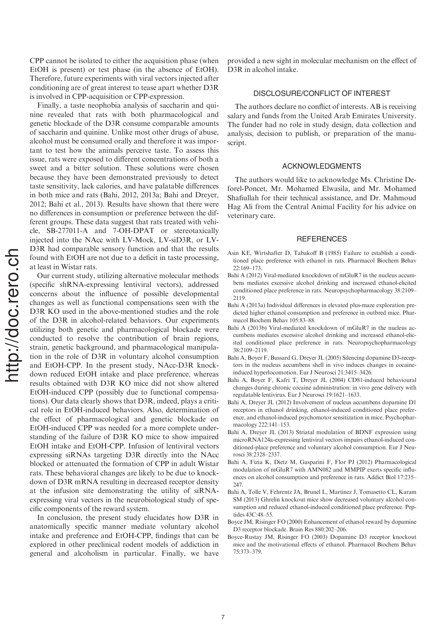CPP cannot be isolated to either the acquisition phase (when EtOH is present) or test phase (in the absence of EtOH). Therefore, future experiments with viral vectors injected after conditioning are of great interest to tease apart whether D3R is involved in CPP-acquisition or CPP-expression.

Finally, a taste neophobia analysis of saccharin and quinine revealed that rats with both pharmacological and genetic blockade of the D3R consume comparable amounts of saccharin and quinine. Unlike most other drugs of abuse, alcohol must be consumed orally and therefore it was important to test how the animals perceive taste. To assess this issue, rats were exposed to different concentrations of both a sweet and a bitter solution. These solutions were chosen because they have been demonstrated previously to detect taste sensitivity, lack calories, and have palatable differences in both mice and rats (Bahi, 2012, 2013a; Bahi and Dreyer, 2012; Bahi et al., 2013). Results have shown that there were no differences in consumption or preference between the different groups. These data suggest that rats treated with vehicle, SB-277011-A and 7-OH-DPAT or stereotaxically injected into the NAcc with LV-Mock, LV-siD3R, or LV-D3R had comparable sensory function and that the results found with EtOH are not due to a deficit in taste processing, at least in Wistar rats.

Our current study, utilizing alternative molecular methods (specific shRNA-expressing lentiviral vectors), addressed concerns about the influence of possible developmental changes as well as functional compensations seen with the D3R KO used in the above-mentioned studies and the role of the D3R in alcohol-related behaviors. Our experiments utilizing both genetic and pharmacological blockade were conducted to resolve the contribution of brain regions, strain, genetic background, and pharmacological manipulation in the role of D3R in voluntary alcohol consumption and EtOH-CPP. In the present study, NAcc-D3R knockdown reduced EtOH intake and place preference, whereas results obtained with D3R KO mice did not show altered EtOH-induced CPP (possibly due to functional compensations). Our data clearly shows that D3R, indeed, plays a critical role in EtOH-induced behaviors. Also, determination of the effect of pharmacological and genetic blockade on EtOH-induced CPP was needed for a more complete understanding of the failure of D3R KO mice to show impaired EtOH intake and EtOH-CPP. Infusion of lentiviral vectors expressing siRNAs targeting D3R directly into the NAcc blocked or attenuated the formation of CPP in adult Wistar rats. These behavioral changes are likely to be due to knockdown of D3R mRNA resulting in decreased receptor density at the infusion site demonstrating the utility of siRNAexpressing viral vectors in the neurobiological study of specific components of the reward system.

In conclusion, the present study elucidates how D3R in anatomically specific manner mediate voluntary alcohol intake and preference and EtOH-CPP, findings that can be explored in other preclinical rodent models of addiction in general and alcoholism in particular. Finally, we have provided a new sight in molecular mechanism on the effect of D3R in alcohol intake.

# DISCLOSURE/CONFLICT OF INTEREST

The authors declare no conflict of interests. AB is receiving salary and funds from the United Arab Emirates University. The funder had no role in study design, data collection and analysis, decision to publish, or preparation of the manuscript.

## ACKNOWLEDGMENTS

The authors would like to acknowledge Ms. Christine Deforel-Poncet, Mr. Mohamed Elwasila, and Mr. Mohamed Shafiullah for their technical assistance, and Dr. Mahmoud Hag Ali from the Central Animal Facility for his advice on veterinary care.

#### **REFERENCES**

- Asin KE, Wirtshafter D, Tabakoff B (1985) Failure to establish a conditioned place preference with ethanol in rats. Pharmacol Biochem Behav 22:169–173.
- Bahi A (2012) Viral-mediated knockdown of mGluR7 in the nucleus accumbens mediates excessive alcohol drinking and increased ethanol-elicited conditioned place preference in rats. Neuropsychopharmacology 38:2109– 2119.
- Bahi A (2013a) Individual differences in elevated plus-maze exploration predicted higher ethanol consumption and preference in outbred mice. Pharmacol Biochem Behav 105:83–88.
- Bahi A (2013b) Viral-mediated knockdown of mGluR7 in the nucleus accumbens mediates excessive alcohol drinking and increased ethanol-elicited conditioned place preference in rats. Neuropsychopharmacology 38:2109–2119.
- Bahi A, Boyer F, Bussard G, Dreyer JL (2005) Silencing dopamine D3-receptors in the nucleus accumbens shell in vivo induces changes in cocaineinduced hyperlocomotion. Eur J Neurosci 21:3415–3426.
- Bahi A, Boyer F, Kafri T, Dreyer JL (2004) CD81-induced behavioural changes during chronic cocaine administration: in vivo gene delivery with regulatable lentivirus. Eur J Neurosci 19:1621–1633.
- Bahi A, Dreyer JL (2012) Involvement of nucleus accumbens dopamine D1 receptors in ethanol drinking, ethanol-induced conditioned place preference, and ethanol-induced psychomotor sensitization in mice. Psychopharmacology 222:141–153.
- Bahi A, Dreyer JL (2013) Striatal modulation of BDNF expression using microRNA124a-expressing lentiviral vectors impairs ethanol-induced conditioned-place preference and voluntary alcohol consumption. Eur J Neurosci 38:2328–2337.
- Bahi A, Fizia K, Dietz M, Gasparini F, Flor PJ (2012) Pharmacological modulation of mGluR7 with AMN082 and MMPIP exerts specific influences on alcohol consumption and preference in rats. Addict Biol 17:235– 247.
- Bahi A, Tolle V, Fehrentz JA, Brunel L, Martinez J, Tomasetto CL, Karam SM (2013) Ghrelin knockout mice show decreased voluntary alcohol consumption and reduced ethanol-induced conditioned place preference. Peptides 43C:48–55.
- Boyce JM, Risinger FO (2000) Enhancement of ethanol reward by dopamine D3 receptor blockade. Brain Res 880:202–206.
- Boyce-Rustay JM, Risinger FO (2003) Dopamine D3 receptor knockout mice and the motivational effects of ethanol. Pharmacol Biochem Behav 75:373–379.